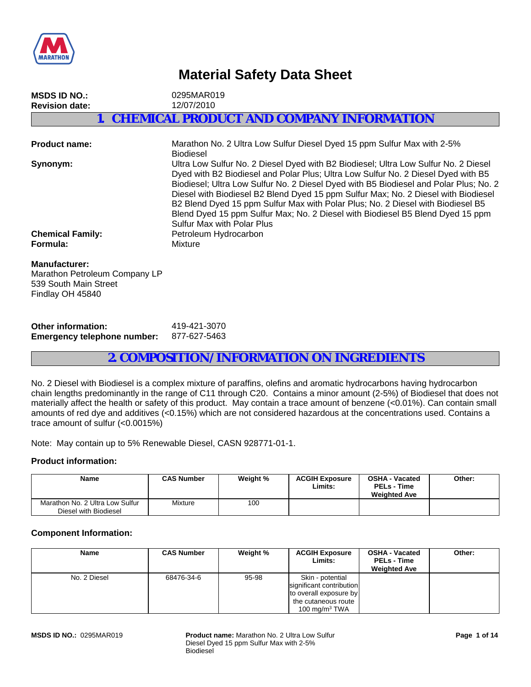

# **Material Safety Data Sheet**

| <b>MSDS ID NO.:</b>                                                            | 0295MAR019                                                                                                                                                                                                                                                                                                                                                                                                                                                                                                                                                        |
|--------------------------------------------------------------------------------|-------------------------------------------------------------------------------------------------------------------------------------------------------------------------------------------------------------------------------------------------------------------------------------------------------------------------------------------------------------------------------------------------------------------------------------------------------------------------------------------------------------------------------------------------------------------|
| <b>Revision date:</b>                                                          | 12/07/2010                                                                                                                                                                                                                                                                                                                                                                                                                                                                                                                                                        |
|                                                                                | <b>CHEMICAL PRODUCT AND COMPANY INFORMATION</b>                                                                                                                                                                                                                                                                                                                                                                                                                                                                                                                   |
|                                                                                |                                                                                                                                                                                                                                                                                                                                                                                                                                                                                                                                                                   |
| <b>Product name:</b>                                                           | Marathon No. 2 Ultra Low Sulfur Diesel Dyed 15 ppm Sulfur Max with 2-5%<br><b>Biodiesel</b>                                                                                                                                                                                                                                                                                                                                                                                                                                                                       |
| Synonym:                                                                       | Ultra Low Sulfur No. 2 Diesel Dyed with B2 Biodiesel; Ultra Low Sulfur No. 2 Diesel<br>Dyed with B2 Biodiesel and Polar Plus; Ultra Low Sulfur No. 2 Diesel Dyed with B5<br>Biodiesel; Ultra Low Sulfur No. 2 Diesel Dyed with B5 Biodiesel and Polar Plus; No. 2<br>Diesel with Biodiesel B2 Blend Dyed 15 ppm Sulfur Max; No. 2 Diesel with Biodiesel<br>B2 Blend Dyed 15 ppm Sulfur Max with Polar Plus; No. 2 Diesel with Biodiesel B5<br>Blend Dyed 15 ppm Sulfur Max; No. 2 Diesel with Biodiesel B5 Blend Dyed 15 ppm<br><b>Sulfur Max with Polar Plus</b> |
| <b>Chemical Family:</b><br>Formula:                                            | Petroleum Hydrocarbon<br>Mixture                                                                                                                                                                                                                                                                                                                                                                                                                                                                                                                                  |
| <b>Manufacturer:</b><br>Marathon Petroleum Company LP<br>539 South Main Street |                                                                                                                                                                                                                                                                                                                                                                                                                                                                                                                                                                   |

| Other information:                 | 419-421-3070 |
|------------------------------------|--------------|
| <b>Emergency telephone number:</b> | 877-627-5463 |

## **2. COMPOSITION/INFORMATION ON INGREDIENTS**

No. 2 Diesel with Biodiesel is a complex mixture of paraffins, olefins and aromatic hydrocarbons having hydrocarbon chain lengths predominantly in the range of C11 through C20. Contains a minor amount (2-5%) of Biodiesel that does not materially affect the health or safety of this product. May contain a trace amount of benzene (<0.01%). Can contain small amounts of red dye and additives (<0.15%) which are not considered hazardous at the concentrations used. Contains a trace amount of sulfur (<0.0015%)

Note: May contain up to 5% Renewable Diesel, CASN 928771-01-1.

## **Product information:**

Findlay OH 45840

| <b>Name</b>                                              | <b>CAS Number</b> | Weight % | <b>ACGIH Exposure</b><br>Limits: | <b>OSHA - Vacated</b><br><b>PELs - Time</b><br><b>Weighted Ave</b> | Other: |
|----------------------------------------------------------|-------------------|----------|----------------------------------|--------------------------------------------------------------------|--------|
| Marathon No. 2 Ultra Low Sulfur<br>Diesel with Biodiesel | Mixture           | 100      |                                  |                                                                    |        |

## **Component Information:**

| <b>Name</b>  | <b>CAS Number</b> | Weight % | <b>ACGIH Exposure</b><br>Limits:                                                                                  | <b>OSHA - Vacated</b><br><b>PELs - Time</b><br><b>Weighted Ave</b> | Other: |
|--------------|-------------------|----------|-------------------------------------------------------------------------------------------------------------------|--------------------------------------------------------------------|--------|
| No. 2 Diesel | 68476-34-6        | 95-98    | Skin - potential<br>significant contribution<br>to overall exposure by<br>the cutaneous route<br>100 mg/m $3$ TWA |                                                                    |        |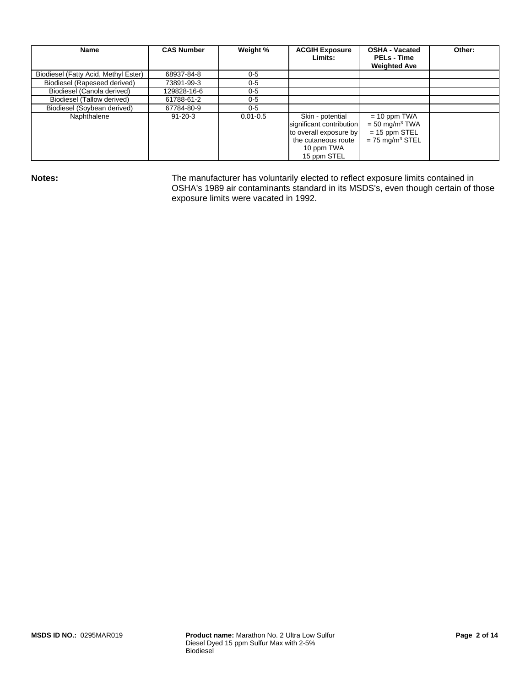| <b>Name</b>                          | <b>CAS Number</b> | Weight %     | <b>ACGIH Exposure</b><br>Limits:                                                                                           | <b>OSHA - Vacated</b><br><b>PELs - Time</b><br><b>Weighted Ave</b>                                 | Other: |
|--------------------------------------|-------------------|--------------|----------------------------------------------------------------------------------------------------------------------------|----------------------------------------------------------------------------------------------------|--------|
| Biodiesel (Fatty Acid, Methyl Ester) | 68937-84-8        | $0 - 5$      |                                                                                                                            |                                                                                                    |        |
| Biodiesel (Rapeseed derived)         | 73891-99-3        | $0 - 5$      |                                                                                                                            |                                                                                                    |        |
| Biodiesel (Canola derived)           | 129828-16-6       | $0 - 5$      |                                                                                                                            |                                                                                                    |        |
| Biodiesel (Tallow derived)           | 61788-61-2        | $0 - 5$      |                                                                                                                            |                                                                                                    |        |
| Biodiesel (Soybean derived)          | 67784-80-9        | $0 - 5$      |                                                                                                                            |                                                                                                    |        |
| Naphthalene                          | $91 - 20 - 3$     | $0.01 - 0.5$ | Skin - potential<br>significant contribution<br>to overall exposure by<br>the cutaneous route<br>10 ppm TWA<br>15 ppm STEL | $= 10$ ppm TWA<br>$=$ 50 mg/m <sup>3</sup> TWA<br>$= 15$ ppm STEL<br>$= 75$ mg/m <sup>3</sup> STEL |        |

Notes: **Notes:** The manufacturer has voluntarily elected to reflect exposure limits contained in OSHA's 1989 air contaminants standard in its MSDS's, even though certain of those exposure limits were vacated in 1992.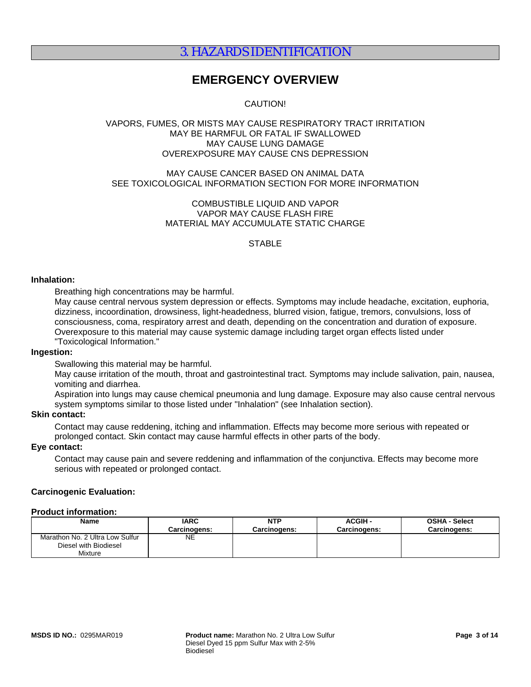## 3. HAZARDS IDENTIFICATION

## **EMERGENCY OVERVIEW**

## CAUTION!

## VAPORS, FUMES, OR MISTS MAY CAUSE RESPIRATORY TRACT IRRITATION MAY BE HARMFUL OR FATAL IF SWALLOWED MAY CAUSE LUNG DAMAGE OVEREXPOSURE MAY CAUSE CNS DEPRESSION

## MAY CAUSE CANCER BASED ON ANIMAL DATA SEE TOXICOLOGICAL INFORMATION SECTION FOR MORE INFORMATION

#### COMBUSTIBLE LIQUID AND VAPOR VAPOR MAY CAUSE FLASH FIRE MATERIAL MAY ACCUMULATE STATIC CHARGE

## **STABLE**

#### **Inhalation:**

Breathing high concentrations may be harmful.

May cause central nervous system depression or effects. Symptoms may include headache, excitation, euphoria, dizziness, incoordination, drowsiness, light-headedness, blurred vision, fatigue, tremors, convulsions, loss of consciousness, coma, respiratory arrest and death, depending on the concentration and duration of exposure. Overexposure to this material may cause systemic damage including target organ effects listed under "Toxicological Information."

#### **Ingestion:**

Swallowing this material may be harmful.

May cause irritation of the mouth, throat and gastrointestinal tract. Symptoms may include salivation, pain, nausea, vomiting and diarrhea.

Aspiration into lungs may cause chemical pneumonia and lung damage. Exposure may also cause central nervous system symptoms similar to those listed under "Inhalation" (see Inhalation section).

## **Skin contact:**

Contact may cause reddening, itching and inflammation. Effects may become more serious with repeated or prolonged contact. Skin contact may cause harmful effects in other parts of the body.

## **Eye contact:**

Contact may cause pain and severe reddening and inflammation of the conjunctiva. Effects may become more serious with repeated or prolonged contact.

## **Carcinogenic Evaluation:**

#### **Product information:**

| Name                                                                | <b>IARC</b>         | <b>NTP</b>   | <b>ACGIH-</b> | <b>OSHA - Select</b> |
|---------------------------------------------------------------------|---------------------|--------------|---------------|----------------------|
|                                                                     | <b>Carcinogens:</b> | Carcinogens: | Carcinogens:  | Carcinogens:         |
| Marathon No. 2 Ultra Low Sulfur<br>Diesel with Biodiesel<br>Mixture | NΕ                  |              |               |                      |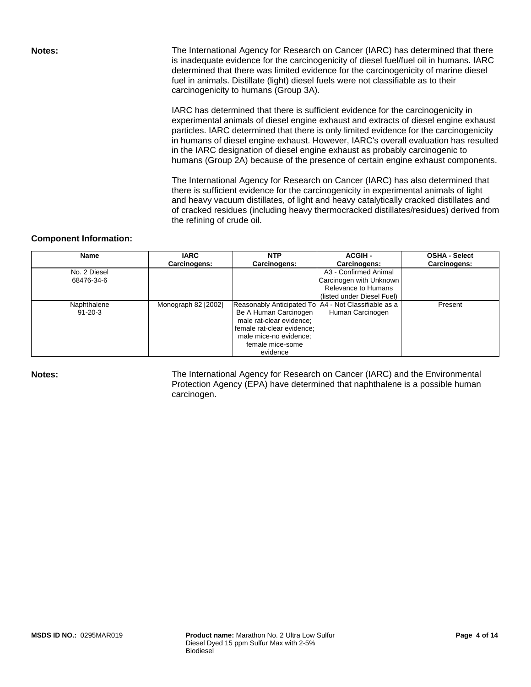**Notes: The International Agency for Research on Cancer (IARC) has determined that there** is inadequate evidence for the carcinogenicity of diesel fuel/fuel oil in humans. IARC determined that there was limited evidence for the carcinogenicity of marine diesel fuel in animals. Distillate (light) diesel fuels were not classifiable as to their carcinogenicity to humans (Group 3A).

> IARC has determined that there is sufficient evidence for the carcinogenicity in experimental animals of diesel engine exhaust and extracts of diesel engine exhaust particles. IARC determined that there is only limited evidence for the carcinogenicity in humans of diesel engine exhaust. However, IARC's overall evaluation has resulted in the IARC designation of diesel engine exhaust as probably carcinogenic to humans (Group 2A) because of the presence of certain engine exhaust components.

> The International Agency for Research on Cancer (IARC) has also determined that there is sufficient evidence for the carcinogenicity in experimental animals of light and heavy vacuum distillates, of light and heavy catalytically cracked distillates and of cracked residues (including heavy thermocracked distillates/residues) derived from the refining of crude oil.

#### **Component Information:**

| Name                         | <b>IARC</b><br>Carcinogens: | <b>NTP</b><br>Carcinogens:                                                                                                                                             | <b>ACGIH-</b><br>Carcinogens:                                                                         | <b>OSHA - Select</b><br>Carcinogens: |
|------------------------------|-----------------------------|------------------------------------------------------------------------------------------------------------------------------------------------------------------------|-------------------------------------------------------------------------------------------------------|--------------------------------------|
| No. 2 Diesel<br>68476-34-6   |                             |                                                                                                                                                                        | A3 - Confirmed Animal<br>Carcinogen with Unknown<br>Relevance to Humans<br>(listed under Diesel Fuel) |                                      |
| Naphthalene<br>$91 - 20 - 3$ | Monograph 82 [2002]         | Reasonably Anticipated To<br>Be A Human Carcinogen<br>male rat-clear evidence;<br>female rat-clear evidence;<br>male mice-no evidence;<br>female mice-some<br>evidence | A4 - Not Classifiable as a<br>Human Carcinogen                                                        | Present                              |

**Notes:** The International Agency for Research on Cancer (IARC) and the Environmental Protection Agency (EPA) have determined that naphthalene is a possible human carcinogen.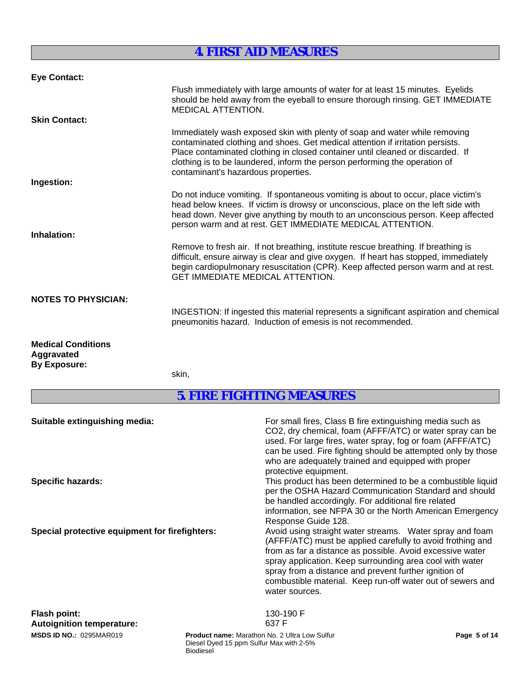# **4. FIRST AID MEASURES**

| <b>Eye Contact:</b>                                            |                                                                                                                                                                                                                                                                                                                                                                     |
|----------------------------------------------------------------|---------------------------------------------------------------------------------------------------------------------------------------------------------------------------------------------------------------------------------------------------------------------------------------------------------------------------------------------------------------------|
|                                                                | Flush immediately with large amounts of water for at least 15 minutes. Eyelids<br>should be held away from the eyeball to ensure thorough rinsing. GET IMMEDIATE<br><b>MEDICAL ATTENTION.</b>                                                                                                                                                                       |
| <b>Skin Contact:</b>                                           |                                                                                                                                                                                                                                                                                                                                                                     |
|                                                                | Immediately wash exposed skin with plenty of soap and water while removing<br>contaminated clothing and shoes. Get medical attention if irritation persists.<br>Place contaminated clothing in closed container until cleaned or discarded. If<br>clothing is to be laundered, inform the person performing the operation of<br>contaminant's hazardous properties. |
| Ingestion:                                                     |                                                                                                                                                                                                                                                                                                                                                                     |
| Inhalation:                                                    | Do not induce vomiting. If spontaneous vomiting is about to occur, place victim's<br>head below knees. If victim is drowsy or unconscious, place on the left side with<br>head down. Never give anything by mouth to an unconscious person. Keep affected<br>person warm and at rest. GET IMMEDIATE MEDICAL ATTENTION.                                              |
|                                                                | Remove to fresh air. If not breathing, institute rescue breathing. If breathing is<br>difficult, ensure airway is clear and give oxygen. If heart has stopped, immediately<br>begin cardiopulmonary resuscitation (CPR). Keep affected person warm and at rest.<br><b>GET IMMEDIATE MEDICAL ATTENTION.</b>                                                          |
| <b>NOTES TO PHYSICIAN:</b>                                     |                                                                                                                                                                                                                                                                                                                                                                     |
|                                                                | INGESTION: If ingested this material represents a significant aspiration and chemical<br>pneumonitis hazard. Induction of emesis is not recommended.                                                                                                                                                                                                                |
| <b>Medical Conditions</b><br>Aggravated<br><b>By Exposure:</b> |                                                                                                                                                                                                                                                                                                                                                                     |

skin,

Biodiesel

# **5. FIRE FIGHTING MEASURES**

| Suitable extinguishing media:<br><b>Specific hazards:</b><br>Special protective equipment for firefighters: | For small fires, Class B fire extinguishing media such as<br>CO2, dry chemical, foam (AFFF/ATC) or water spray can be<br>used. For large fires, water spray, fog or foam (AFFF/ATC)<br>can be used. Fire fighting should be attempted only by those<br>who are adequately trained and equipped with proper<br>protective equipment.<br>This product has been determined to be a combustible liquid<br>per the OSHA Hazard Communication Standard and should<br>be handled accordingly. For additional fire related<br>information, see NFPA 30 or the North American Emergency<br>Response Guide 128.<br>Avoid using straight water streams. Water spray and foam |
|-------------------------------------------------------------------------------------------------------------|-------------------------------------------------------------------------------------------------------------------------------------------------------------------------------------------------------------------------------------------------------------------------------------------------------------------------------------------------------------------------------------------------------------------------------------------------------------------------------------------------------------------------------------------------------------------------------------------------------------------------------------------------------------------|
|                                                                                                             | (AFFF/ATC) must be applied carefully to avoid frothing and<br>from as far a distance as possible. Avoid excessive water<br>spray application. Keep surrounding area cool with water<br>spray from a distance and prevent further ignition of<br>combustible material. Keep run-off water out of sewers and<br>water sources.                                                                                                                                                                                                                                                                                                                                      |
| <b>Flash point:</b><br><b>Autoignition temperature:</b>                                                     | 130-190 F<br>637 F                                                                                                                                                                                                                                                                                                                                                                                                                                                                                                                                                                                                                                                |
| <b>MSDS ID NO.: 0295MAR019</b>                                                                              | <b>Product name: Marathon No. 2 Ultra Low Sulfur</b><br>Page 5 of 14<br>Diesel Dyed 15 ppm Sulfur Max with 2-5%                                                                                                                                                                                                                                                                                                                                                                                                                                                                                                                                                   |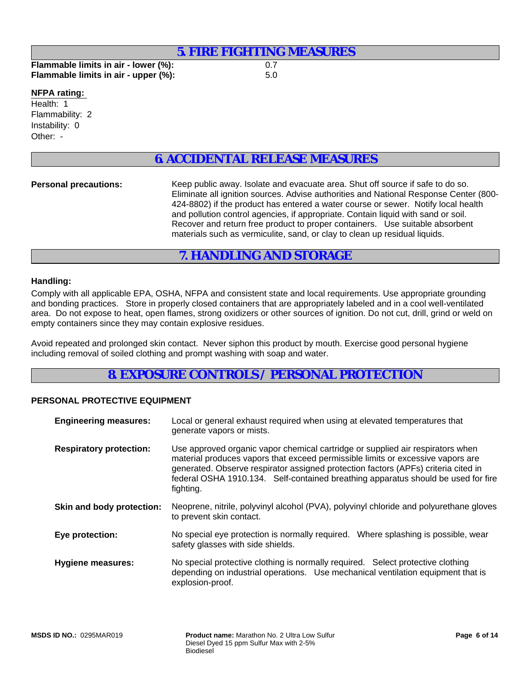## **5. FIRE FIGHTING MEASURES**

**Flammable limits in air - lower (%):** 0.7 **Flammable limits in air - upper (%):** 5.0

## **NFPA rating:**

Other: - Flammability: 2 Health: 1 Instability: 0

## **6. ACCIDENTAL RELEASE MEASURES**

**Personal precautions:** Keep public away. Isolate and evacuate area. Shut off source if safe to do so. Eliminate all ignition sources. Advise authorities and National Response Center (800- 424-8802) if the product has entered a water course or sewer. Notify local health and pollution control agencies, if appropriate. Contain liquid with sand or soil. Recover and return free product to proper containers. Use suitable absorbent materials such as vermiculite, sand, or clay to clean up residual liquids.

## **7. HANDLING AND STORAGE**

## **Handling:**

Comply with all applicable EPA, OSHA, NFPA and consistent state and local requirements. Use appropriate grounding and bonding practices. Store in properly closed containers that are appropriately labeled and in a cool well-ventilated area. Do not expose to heat, open flames, strong oxidizers or other sources of ignition. Do not cut, drill, grind or weld on empty containers since they may contain explosive residues.

Avoid repeated and prolonged skin contact. Never siphon this product by mouth. Exercise good personal hygiene including removal of soiled clothing and prompt washing with soap and water.

## **8. EXPOSURE CONTROLS / PERSONAL PROTECTION**

## **PERSONAL PROTECTIVE EQUIPMENT**

| <b>Engineering measures:</b>   | Local or general exhaust required when using at elevated temperatures that<br>generate vapors or mists.                                                                                                                                                                                                                                                   |
|--------------------------------|-----------------------------------------------------------------------------------------------------------------------------------------------------------------------------------------------------------------------------------------------------------------------------------------------------------------------------------------------------------|
| <b>Respiratory protection:</b> | Use approved organic vapor chemical cartridge or supplied air respirators when<br>material produces vapors that exceed permissible limits or excessive vapors are<br>generated. Observe respirator assigned protection factors (APFs) criteria cited in<br>federal OSHA 1910.134. Self-contained breathing apparatus should be used for fire<br>fighting. |
| Skin and body protection:      | Neoprene, nitrile, polyvinyl alcohol (PVA), polyvinyl chloride and polyurethane gloves<br>to prevent skin contact.                                                                                                                                                                                                                                        |
| Eye protection:                | No special eye protection is normally required. Where splashing is possible, wear<br>safety glasses with side shields.                                                                                                                                                                                                                                    |
| <b>Hygiene measures:</b>       | No special protective clothing is normally required. Select protective clothing<br>depending on industrial operations. Use mechanical ventilation equipment that is<br>explosion-proof.                                                                                                                                                                   |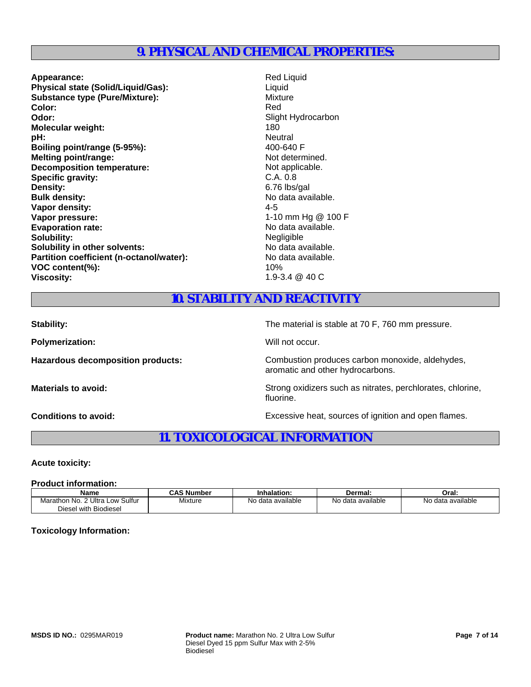## **9. PHYSICAL AND CHEMICAL PROPERTIES:**

Appearance: **Red Liquid Appearance: Red Liquid** Physical state (Solid/Liquid/Gas): Liquid **Substance type (Pure/Mixture):** Mixture **Color:** Red **Odor:** Slight Hydrocarbon **Molecular weight:** 180 **pH:** Neutral **Boiling point/range (5-95%):** 400-640 F **Melting point/range:** Not determined. **Decomposition temperature:** Not applicable. **Specific gravity:** C.A. 0.8 **Density:** 6.76 lbs/gal **Bulk density:** No data available. **Vapor density:** 4-5 **Vapor pressure:** 1-10 mm Hg @ 100 F **Evaporation rate:** No data available. **Solubility:** Negligible **Solubility in other solvents:** No data available.<br> **Partition coefficient (n-octanol/water):** No data available. **Partition coefficient (n-octanol/water): VOC content(%):** 10% **Viscosity:** 1.9-3.4 @ 40 C

## **10. STABILITY AND REACTIVITY**

**Polymerization:** Will not occur.

**Stability:** The material is stable at 70 F, 760 mm pressure.

**Hazardous decomposition products:** Combustion produces carbon monoxide, aldehydes, aromatic and other hydrocarbons.

**Materials to avoid:** Strong oxidizers such as nitrates, perchlorates, chlorine, fluorine.

**Conditions to avoid:** Excessive heat, sources of ignition and open flames.

## **11. TOXICOLOGICAL INFORMATION**

#### **Acute toxicity:**

## **Product information:**

| <b>Name</b>                                 | <b>CAS Number</b> | Inhalation:       | Dermal:           | Oral:             |
|---------------------------------------------|-------------------|-------------------|-------------------|-------------------|
| Sulfur<br>2 Ultra<br>No.<br>Marathon<br>LOW | Mixture           | No data available | No data available | No data available |
| Diesel with Biodiesel                       |                   |                   |                   |                   |

## **Toxicology Information:**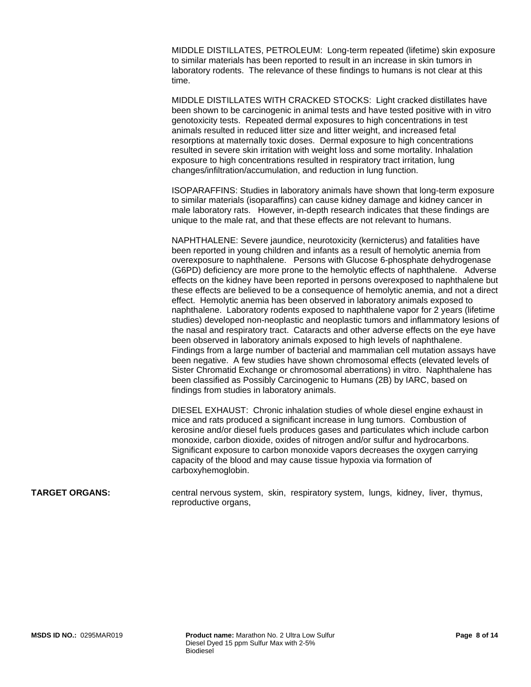MIDDLE DISTILLATES, PETROLEUM: Long-term repeated (lifetime) skin exposure to similar materials has been reported to result in an increase in skin tumors in laboratory rodents. The relevance of these findings to humans is not clear at this time.

MIDDLE DISTILLATES WITH CRACKED STOCKS: Light cracked distillates have been shown to be carcinogenic in animal tests and have tested positive with in vitro genotoxicity tests. Repeated dermal exposures to high concentrations in test animals resulted in reduced litter size and litter weight, and increased fetal resorptions at maternally toxic doses. Dermal exposure to high concentrations resulted in severe skin irritation with weight loss and some mortality. Inhalation exposure to high concentrations resulted in respiratory tract irritation, lung changes/infiltration/accumulation, and reduction in lung function.

ISOPARAFFINS: Studies in laboratory animals have shown that long-term exposure to similar materials (isoparaffins) can cause kidney damage and kidney cancer in male laboratory rats. However, in-depth research indicates that these findings are unique to the male rat, and that these effects are not relevant to humans.

NAPHTHALENE: Severe jaundice, neurotoxicity (kernicterus) and fatalities have been reported in young children and infants as a result of hemolytic anemia from overexposure to naphthalene. Persons with Glucose 6-phosphate dehydrogenase (G6PD) deficiency are more prone to the hemolytic effects of naphthalene. Adverse effects on the kidney have been reported in persons overexposed to naphthalene but these effects are believed to be a consequence of hemolytic anemia, and not a direct effect. Hemolytic anemia has been observed in laboratory animals exposed to naphthalene. Laboratory rodents exposed to naphthalene vapor for 2 years (lifetime studies) developed non-neoplastic and neoplastic tumors and inflammatory lesions of the nasal and respiratory tract. Cataracts and other adverse effects on the eye have been observed in laboratory animals exposed to high levels of naphthalene. Findings from a large number of bacterial and mammalian cell mutation assays have been negative. A few studies have shown chromosomal effects (elevated levels of Sister Chromatid Exchange or chromosomal aberrations) in vitro. Naphthalene has been classified as Possibly Carcinogenic to Humans (2B) by IARC, based on findings from studies in laboratory animals.

DIESEL EXHAUST: Chronic inhalation studies of whole diesel engine exhaust in mice and rats produced a significant increase in lung tumors. Combustion of kerosine and/or diesel fuels produces gases and particulates which include carbon monoxide, carbon dioxide, oxides of nitrogen and/or sulfur and hydrocarbons. Significant exposure to carbon monoxide vapors decreases the oxygen carrying capacity of the blood and may cause tissue hypoxia via formation of carboxyhemoglobin.

**TARGET ORGANS:** central nervous system, skin, respiratory system, lungs, kidney, liver, thymus, reproductive organs,

**Product name:** Marathon No. 2 Ultra Low Sulfur **Name: Marathon No. 2 Ultra Low Sulfur 1998 Page 8 of 14 Page 8 of 14** Diesel Dyed 15 ppm Sulfur Max with 2-5% Biodiesel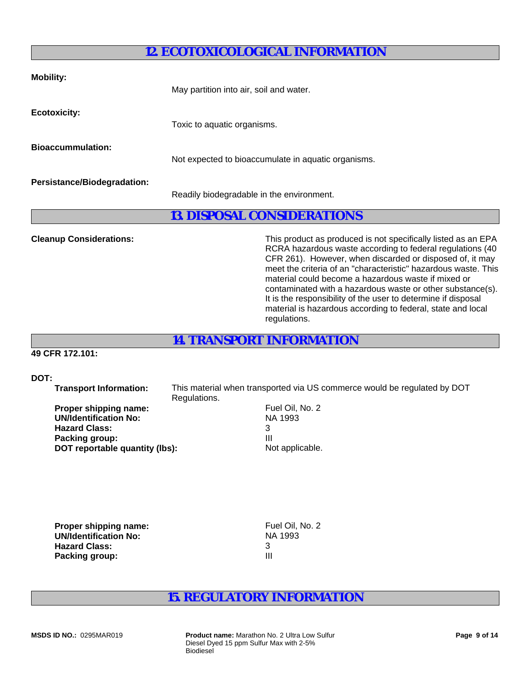## **12. ECOTOXICOLOGICAL INFORMATION**

| <b>Mobility:</b>                   | May partition into air, soil and water.             |
|------------------------------------|-----------------------------------------------------|
| <b>Ecotoxicity:</b>                | Toxic to aquatic organisms.                         |
| <b>Bioaccummulation:</b>           | Not expected to bioaccumulate in aquatic organisms. |
| <b>Persistance/Biodegradation:</b> | Readily biodegradable in the environment.           |

**13. DISPOSAL CONSIDERATIONS**

**Cleanup Considerations:** This product as produced is not specifically listed as an EPA RCRA hazardous waste according to federal regulations (40 CFR 261). However, when discarded or disposed of, it may meet the criteria of an "characteristic" hazardous waste. This material could become a hazardous waste if mixed or contaminated with a hazardous waste or other substance(s). It is the responsibility of the user to determine if disposal material is hazardous according to federal, state and local regulations.

**14. TRANSPORT INFORMATION**

## **49 CFR 172.101:**

## **DOT:**

 **Transport Information:** This material when transported via US commerce would be regulated by DOT Regulations.

| N. |
|----|
| 3  |
| Ш  |
| N  |
|    |

**Fuel Oil, No. 2 NA 1993** Not applicable.

| Proper shipping name:        |    |
|------------------------------|----|
| <b>UN/Identification No:</b> | N. |
| <b>Hazard Class:</b>         |    |
| <b>Packing group:</b>        |    |

Fuel Oil, No. 2 **NA 1993** 

## **15. REGULATORY INFORMATION**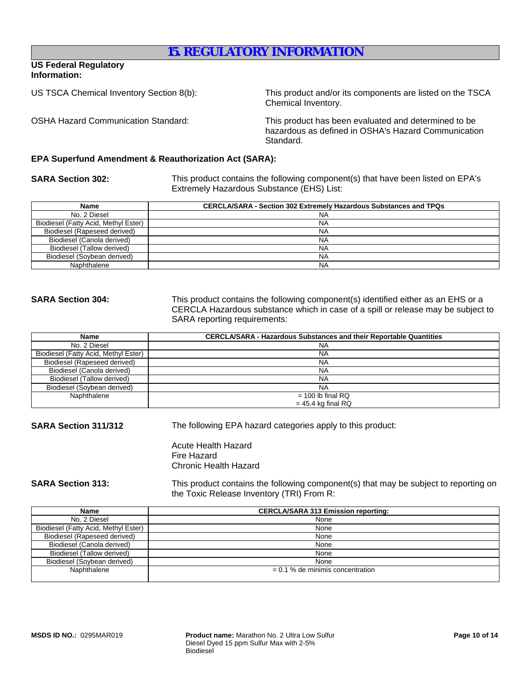## **15. REGULATORY INFORMATION**

**US Federal Regulatory Information:** 

US TSCA Chemical Inventory Section 8(b): This product and/or its components are listed on the TSCA Chemical Inventory.

OSHA Hazard Communication Standard: This product has been evaluated and determined to be hazardous as defined in OSHA's Hazard Communication Standard.

## **EPA Superfund Amendment & Reauthorization Act (SARA):**

**SARA Section 302:** This product contains the following component(s) that have been listed on EPA's Extremely Hazardous Substance (EHS) List:

| <b>Name</b>                          | <b>CERCLA/SARA - Section 302 Extremely Hazardous Substances and TPQs</b> |
|--------------------------------------|--------------------------------------------------------------------------|
| No. 2 Diesel                         | <b>NA</b>                                                                |
| Biodiesel (Fatty Acid, Methyl Ester) | <b>NA</b>                                                                |
| Biodiesel (Rapeseed derived)         | <b>NA</b>                                                                |
| Biodiesel (Canola derived)           | <b>NA</b>                                                                |
| Biodiesel (Tallow derived)           | <b>NA</b>                                                                |
| Biodiesel (Soybean derived)          | <b>NA</b>                                                                |
| Naphthalene                          | NA                                                                       |

**SARA Section 304: This product contains the following component(s) identified either as an EHS or a** CERCLA Hazardous substance which in case of a spill or release may be subject to SARA reporting requirements:

| <b>Name</b>                          | <b>CERCLA/SARA - Hazardous Substances and their Reportable Quantities</b> |  |
|--------------------------------------|---------------------------------------------------------------------------|--|
| No. 2 Diesel                         | NA                                                                        |  |
| Biodiesel (Fatty Acid, Methyl Ester) | <b>NA</b>                                                                 |  |
| Biodiesel (Rapeseed derived)         | <b>NA</b>                                                                 |  |
| Biodiesel (Canola derived)           | <b>NA</b>                                                                 |  |
| Biodiesel (Tallow derived)           | <b>NA</b>                                                                 |  |
| Biodiesel (Soybean derived)          | NA                                                                        |  |
| Naphthalene                          | $= 100$ lb final RQ                                                       |  |
|                                      | $= 45.4$ kg final RQ                                                      |  |

**SARA Section 311/312** The following EPA hazard categories apply to this product:

Acute Health Hazard Fire Hazard Chronic Health Hazard

**SARA Section 313:** This product contains the following component(s) that may be subject to reporting on the Toxic Release Inventory (TRI) From R:

| Name                                 | <b>CERCLA/SARA 313 Emission reporting:</b> |
|--------------------------------------|--------------------------------------------|
| No. 2 Diesel                         | None                                       |
| Biodiesel (Fatty Acid, Methyl Ester) | None                                       |
| Biodiesel (Rapeseed derived)         | None                                       |
| Biodiesel (Canola derived)           | None                                       |
| Biodiesel (Tallow derived)           | None                                       |
| Biodiesel (Soybean derived)          | None                                       |
| Naphthalene                          | $= 0.1$ % de minimis concentration         |
|                                      |                                            |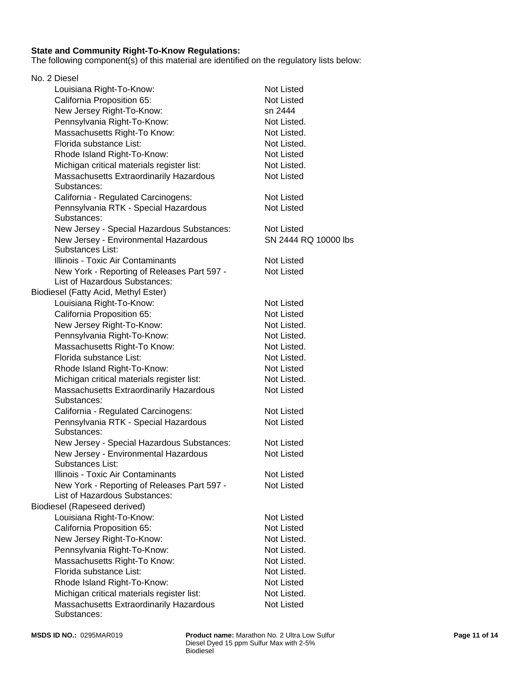## **State and Community Right-To-Know Regulations:**

The following component(s) of this material are identified on the regulatory lists below:

| No. 2 Diesel |                                             |                      |
|--------------|---------------------------------------------|----------------------|
|              | Louisiana Right-To-Know:                    | <b>Not Listed</b>    |
|              | California Proposition 65:                  | <b>Not Listed</b>    |
|              | New Jersey Right-To-Know:                   | sn 2444              |
|              | Pennsylvania Right-To-Know:                 | Not Listed.          |
|              | Massachusetts Right-To Know:                | Not Listed.          |
|              | Florida substance List:                     | Not Listed.          |
|              | Rhode Island Right-To-Know:                 | <b>Not Listed</b>    |
|              | Michigan critical materials register list:  | Not Listed.          |
|              | Massachusetts Extraordinarily Hazardous     | <b>Not Listed</b>    |
|              | Substances:                                 |                      |
|              | California - Regulated Carcinogens:         | <b>Not Listed</b>    |
|              | Pennsylvania RTK - Special Hazardous        | <b>Not Listed</b>    |
|              | Substances:                                 |                      |
|              | New Jersey - Special Hazardous Substances:  | Not Listed           |
|              | New Jersey - Environmental Hazardous        | SN 2444 RQ 10000 lbs |
|              | <b>Substances List:</b>                     |                      |
|              | Illinois - Toxic Air Contaminants           | <b>Not Listed</b>    |
|              | New York - Reporting of Releases Part 597 - | <b>Not Listed</b>    |
|              | List of Hazardous Substances:               |                      |
|              | Biodiesel (Fatty Acid, Methyl Ester)        |                      |
|              | Louisiana Right-To-Know:                    | <b>Not Listed</b>    |
|              | California Proposition 65:                  | Not Listed           |
|              | New Jersey Right-To-Know:                   | Not Listed.          |
|              | Pennsylvania Right-To-Know:                 | Not Listed.          |
|              | Massachusetts Right-To Know:                | Not Listed.          |
|              | Florida substance List:                     | Not Listed.          |
|              | Rhode Island Right-To-Know:                 | Not Listed           |
|              | Michigan critical materials register list:  | Not Listed.          |
|              | Massachusetts Extraordinarily Hazardous     | Not Listed           |
|              | Substances:                                 |                      |
|              | California - Regulated Carcinogens:         | <b>Not Listed</b>    |
|              | Pennsylvania RTK - Special Hazardous        | <b>Not Listed</b>    |
|              | Substances:                                 |                      |
|              | New Jersey - Special Hazardous Substances:  | <b>Not Listed</b>    |
|              | New Jersey - Environmental Hazardous        | <b>Not Listed</b>    |
|              | Substances List:                            |                      |
|              | Illinois - Toxic Air Contaminants           | <b>Not Listed</b>    |
|              | New York - Reporting of Releases Part 597 - | <b>Not Listed</b>    |
|              | List of Hazardous Substances:               |                      |
|              | Biodiesel (Rapeseed derived)                |                      |
|              | Louisiana Right-To-Know:                    | Not Listed           |
|              | California Proposition 65:                  | <b>Not Listed</b>    |
|              | New Jersey Right-To-Know:                   | Not Listed.          |
|              | Pennsylvania Right-To-Know:                 | Not Listed.          |
|              | Massachusetts Right-To Know:                | Not Listed.          |
|              | Florida substance List:                     | Not Listed.          |
|              | Rhode Island Right-To-Know:                 | Not Listed           |
|              | Michigan critical materials register list:  | Not Listed.          |
|              | Massachusetts Extraordinarily Hazardous     | Not Listed           |
|              | Substances:                                 |                      |

**Product name:** Marathon No. 2 Ultra Low Sulfur Diesel Dyed 15 ppm Sulfur Max with 2-5% Biodiesel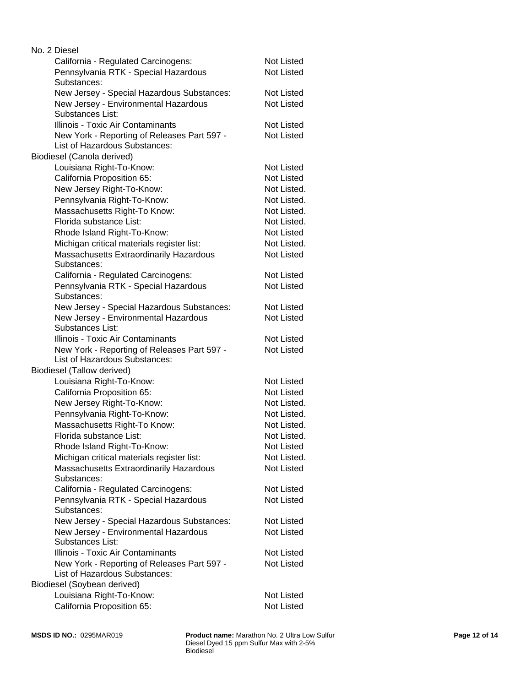| No. 2 Diesel                                |                   |  |
|---------------------------------------------|-------------------|--|
| California - Regulated Carcinogens:         | Not Listed        |  |
| Pennsylvania RTK - Special Hazardous        | Not Listed        |  |
| Substances:                                 |                   |  |
| New Jersey - Special Hazardous Substances:  | Not Listed        |  |
| New Jersey - Environmental Hazardous        | <b>Not Listed</b> |  |
| Substances List:                            |                   |  |
| Illinois - Toxic Air Contaminants           | Not Listed        |  |
| New York - Reporting of Releases Part 597 - | Not Listed        |  |
| List of Hazardous Substances:               |                   |  |
| Biodiesel (Canola derived)                  |                   |  |
| Louisiana Right-To-Know:                    | Not Listed        |  |
| California Proposition 65:                  | Not Listed        |  |
| New Jersey Right-To-Know:                   | Not Listed.       |  |
|                                             | Not Listed.       |  |
| Pennsylvania Right-To-Know:                 |                   |  |
| Massachusetts Right-To Know:                | Not Listed.       |  |
| Florida substance List:                     | Not Listed.       |  |
| Rhode Island Right-To-Know:                 | <b>Not Listed</b> |  |
| Michigan critical materials register list:  | Not Listed.       |  |
| Massachusetts Extraordinarily Hazardous     | <b>Not Listed</b> |  |
| Substances:                                 |                   |  |
| California - Regulated Carcinogens:         | Not Listed        |  |
| Pennsylvania RTK - Special Hazardous        | <b>Not Listed</b> |  |
| Substances:                                 |                   |  |
| New Jersey - Special Hazardous Substances:  | <b>Not Listed</b> |  |
| New Jersey - Environmental Hazardous        | <b>Not Listed</b> |  |
| Substances List:                            |                   |  |
| Illinois - Toxic Air Contaminants           | <b>Not Listed</b> |  |
| New York - Reporting of Releases Part 597 - | <b>Not Listed</b> |  |
| List of Hazardous Substances:               |                   |  |
| Biodiesel (Tallow derived)                  |                   |  |
| Louisiana Right-To-Know:                    | Not Listed        |  |
| California Proposition 65:                  | <b>Not Listed</b> |  |
| New Jersey Right-To-Know:                   | Not Listed.       |  |
| Pennsylvania Right-To-Know:                 | Not Listed.       |  |
| Massachusetts Right-To Know:                | Not Listed.       |  |
| Florida substance List:                     | Not Listed.       |  |
| Rhode Island Right-To-Know:                 | Not Listed        |  |
| Michigan critical materials register list:  | Not Listed.       |  |
| Massachusetts Extraordinarily Hazardous     | <b>Not Listed</b> |  |
| Substances:                                 |                   |  |
| California - Regulated Carcinogens:         | Not Listed        |  |
| Pennsylvania RTK - Special Hazardous        | <b>Not Listed</b> |  |
| Substances:                                 |                   |  |
| New Jersey - Special Hazardous Substances:  | <b>Not Listed</b> |  |
| New Jersey - Environmental Hazardous        | <b>Not Listed</b> |  |
| Substances List:                            |                   |  |
| Illinois - Toxic Air Contaminants           | Not Listed        |  |
| New York - Reporting of Releases Part 597 - | <b>Not Listed</b> |  |
| List of Hazardous Substances:               |                   |  |
| Biodiesel (Soybean derived)                 |                   |  |
| Louisiana Right-To-Know:                    | Not Listed        |  |
| California Proposition 65:                  | <b>Not Listed</b> |  |
|                                             |                   |  |

**Product name:** Marathon No. 2 Ultra Low Sulfur Diesel Dyed 15 ppm Sulfur Max with 2-5% Biodiesel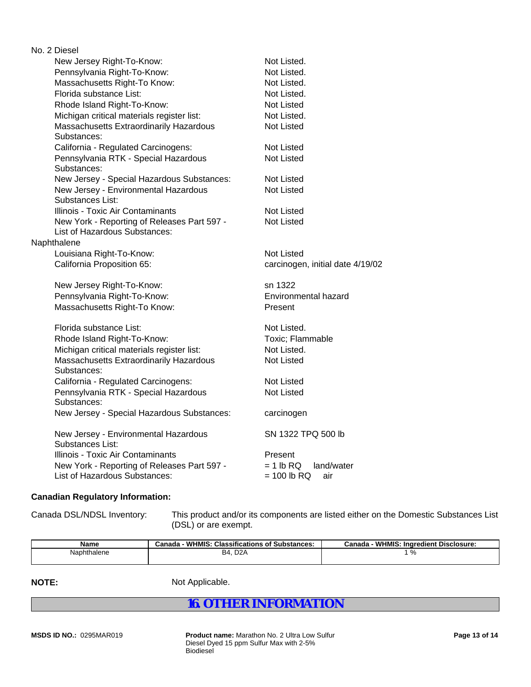|             | No. 2 Diesel                                                                 |                                                 |
|-------------|------------------------------------------------------------------------------|-------------------------------------------------|
|             | New Jersey Right-To-Know:                                                    | Not Listed.                                     |
|             | Pennsylvania Right-To-Know:                                                  | Not Listed.                                     |
|             | Massachusetts Right-To Know:                                                 | Not Listed.                                     |
|             | Florida substance List:                                                      | Not Listed.                                     |
|             | Rhode Island Right-To-Know:                                                  | Not Listed                                      |
|             | Michigan critical materials register list:                                   | Not Listed.                                     |
|             | Massachusetts Extraordinarily Hazardous<br>Substances:                       | <b>Not Listed</b>                               |
|             | California - Regulated Carcinogens:                                          | <b>Not Listed</b>                               |
|             | Pennsylvania RTK - Special Hazardous<br>Substances:                          | <b>Not Listed</b>                               |
|             | New Jersey - Special Hazardous Substances:                                   | <b>Not Listed</b>                               |
|             | New Jersey - Environmental Hazardous<br>Substances List:                     | Not Listed                                      |
|             | Illinois - Toxic Air Contaminants                                            | <b>Not Listed</b>                               |
|             | New York - Reporting of Releases Part 597 -                                  | <b>Not Listed</b>                               |
|             | List of Hazardous Substances:                                                |                                                 |
| Naphthalene |                                                                              |                                                 |
|             | Louisiana Right-To-Know:                                                     | <b>Not Listed</b>                               |
|             | California Proposition 65:                                                   | carcinogen, initial date 4/19/02                |
|             | New Jersey Right-To-Know:                                                    | sn 1322                                         |
|             | Pennsylvania Right-To-Know:                                                  | Environmental hazard                            |
|             | Massachusetts Right-To Know:                                                 | Present                                         |
|             | Florida substance List:                                                      | Not Listed.                                     |
|             | Rhode Island Right-To-Know:                                                  | Toxic; Flammable                                |
|             | Michigan critical materials register list:                                   | Not Listed.                                     |
|             | Massachusetts Extraordinarily Hazardous<br>Substances:                       | <b>Not Listed</b>                               |
|             | California - Regulated Carcinogens:                                          | <b>Not Listed</b>                               |
|             | Pennsylvania RTK - Special Hazardous<br>Substances:                          | <b>Not Listed</b>                               |
|             | New Jersey - Special Hazardous Substances:                                   | carcinogen                                      |
|             | New Jersey - Environmental Hazardous<br>Substances List:                     | SN 1322 TPQ 500 lb                              |
|             | Illinois - Toxic Air Contaminants                                            | Present                                         |
|             | New York - Reporting of Releases Part 597 -<br>List of Hazardous Substances: | $= 1 lb$ RQ<br>land/water<br>= 100 lb RQ<br>air |

## **Canadian Regulatory Information:**

Canada DSL/NDSL Inventory: This product and/or its components are listed either on the Domestic Substances List (DSL) or are exempt.

| <b>Name</b> | <b>WHMIS</b><br><b>Classifications of Substances:</b><br>Canada | WHMIS: Ingredient Disclosure:<br>Canada |
|-------------|-----------------------------------------------------------------|-----------------------------------------|
| Naphthalene | D2A<br>B4                                                       | Ω.                                      |
|             |                                                                 |                                         |

**NOTE:** Not Applicable.

## **16. OTHER INFORMATION**